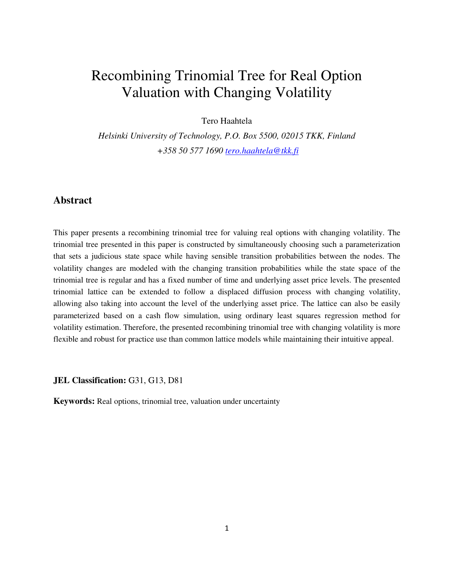# Recombining Trinomial Tree for Real Option Valuation with Changing Volatility

Tero Haahtela

*Helsinki University of Technology, P.O. Box 5500, 02015 TKK, Finland +358 50 577 1690 tero.haahtela@tkk.fi*

# **Abstract**

This paper presents a recombining trinomial tree for valuing real options with changing volatility. The trinomial tree presented in this paper is constructed by simultaneously choosing such a parameterization that sets a judicious state space while having sensible transition probabilities between the nodes. The volatility changes are modeled with the changing transition probabilities while the state space of the trinomial tree is regular and has a fixed number of time and underlying asset price levels. The presented trinomial lattice can be extended to follow a displaced diffusion process with changing volatility, allowing also taking into account the level of the underlying asset price. The lattice can also be easily parameterized based on a cash flow simulation, using ordinary least squares regression method for volatility estimation. Therefore, the presented recombining trinomial tree with changing volatility is more flexible and robust for practice use than common lattice models while maintaining their intuitive appeal.

**JEL Classification:** G31, G13, D81

**Keywords:** Real options, trinomial tree, valuation under uncertainty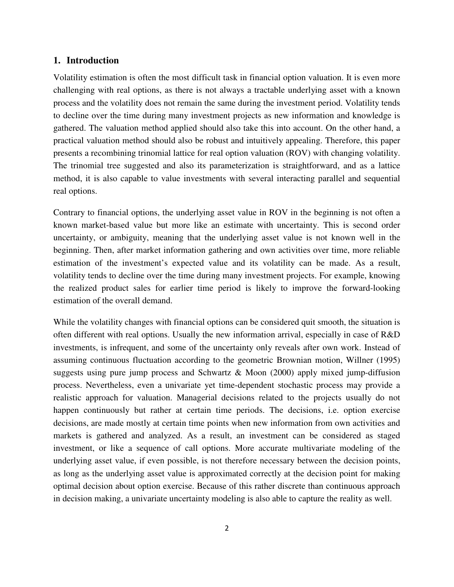#### **1. Introduction**

Volatility estimation is often the most difficult task in financial option valuation. It is even more challenging with real options, as there is not always a tractable underlying asset with a known process and the volatility does not remain the same during the investment period. Volatility tends to decline over the time during many investment projects as new information and knowledge is gathered. The valuation method applied should also take this into account. On the other hand, a practical valuation method should also be robust and intuitively appealing. Therefore, this paper presents a recombining trinomial lattice for real option valuation (ROV) with changing volatility. The trinomial tree suggested and also its parameterization is straightforward, and as a lattice method, it is also capable to value investments with several interacting parallel and sequential real options.

Contrary to financial options, the underlying asset value in ROV in the beginning is not often a known market-based value but more like an estimate with uncertainty. This is second order uncertainty, or ambiguity, meaning that the underlying asset value is not known well in the beginning. Then, after market information gathering and own activities over time, more reliable estimation of the investment's expected value and its volatility can be made. As a result, volatility tends to decline over the time during many investment projects. For example, knowing the realized product sales for earlier time period is likely to improve the forward-looking estimation of the overall demand.

While the volatility changes with financial options can be considered quit smooth, the situation is often different with real options. Usually the new information arrival, especially in case of R&D investments, is infrequent, and some of the uncertainty only reveals after own work. Instead of assuming continuous fluctuation according to the geometric Brownian motion, Willner (1995) suggests using pure jump process and Schwartz & Moon (2000) apply mixed jump-diffusion process. Nevertheless, even a univariate yet time-dependent stochastic process may provide a realistic approach for valuation. Managerial decisions related to the projects usually do not happen continuously but rather at certain time periods. The decisions, i.e. option exercise decisions, are made mostly at certain time points when new information from own activities and markets is gathered and analyzed. As a result, an investment can be considered as staged investment, or like a sequence of call options. More accurate multivariate modeling of the underlying asset value, if even possible, is not therefore necessary between the decision points, as long as the underlying asset value is approximated correctly at the decision point for making optimal decision about option exercise. Because of this rather discrete than continuous approach in decision making, a univariate uncertainty modeling is also able to capture the reality as well.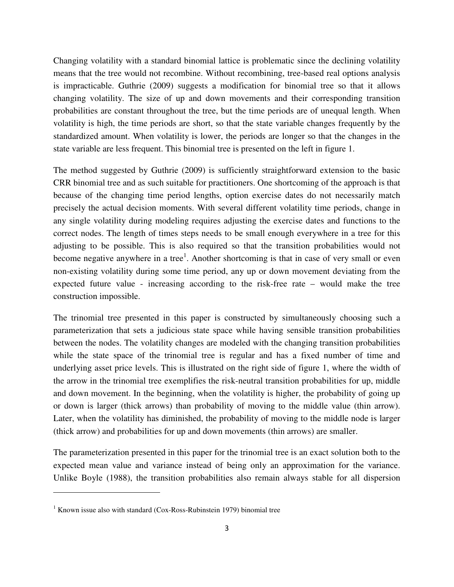Changing volatility with a standard binomial lattice is problematic since the declining volatility means that the tree would not recombine. Without recombining, tree-based real options analysis is impracticable. Guthrie (2009) suggests a modification for binomial tree so that it allows changing volatility. The size of up and down movements and their corresponding transition probabilities are constant throughout the tree, but the time periods are of unequal length. When volatility is high, the time periods are short, so that the state variable changes frequently by the standardized amount. When volatility is lower, the periods are longer so that the changes in the state variable are less frequent. This binomial tree is presented on the left in figure 1.

The method suggested by Guthrie (2009) is sufficiently straightforward extension to the basic CRR binomial tree and as such suitable for practitioners. One shortcoming of the approach is that because of the changing time period lengths, option exercise dates do not necessarily match precisely the actual decision moments. With several different volatility time periods, change in any single volatility during modeling requires adjusting the exercise dates and functions to the correct nodes. The length of times steps needs to be small enough everywhere in a tree for this adjusting to be possible. This is also required so that the transition probabilities would not become negative anywhere in a tree<sup>1</sup>. Another shortcoming is that in case of very small or even non-existing volatility during some time period, any up or down movement deviating from the expected future value - increasing according to the risk-free rate – would make the tree construction impossible.

The trinomial tree presented in this paper is constructed by simultaneously choosing such a parameterization that sets a judicious state space while having sensible transition probabilities between the nodes. The volatility changes are modeled with the changing transition probabilities while the state space of the trinomial tree is regular and has a fixed number of time and underlying asset price levels. This is illustrated on the right side of figure 1, where the width of the arrow in the trinomial tree exemplifies the risk-neutral transition probabilities for up, middle and down movement. In the beginning, when the volatility is higher, the probability of going up or down is larger (thick arrows) than probability of moving to the middle value (thin arrow). Later, when the volatility has diminished, the probability of moving to the middle node is larger (thick arrow) and probabilities for up and down movements (thin arrows) are smaller.

The parameterization presented in this paper for the trinomial tree is an exact solution both to the expected mean value and variance instead of being only an approximation for the variance. Unlike Boyle (1988), the transition probabilities also remain always stable for all dispersion

 $1$  Known issue also with standard (Cox-Ross-Rubinstein 1979) binomial tree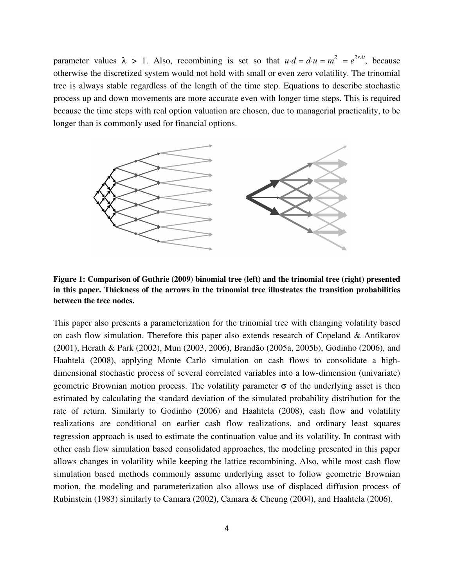parameter values  $\lambda > 1$ . Also, recombining is set so that  $u \cdot d = d \cdot u = m^2 = e^{2r\Delta t}$ , because otherwise the discretized system would not hold with small or even zero volatility. The trinomial tree is always stable regardless of the length of the time step. Equations to describe stochastic process up and down movements are more accurate even with longer time steps. This is required because the time steps with real option valuation are chosen, due to managerial practicality, to be longer than is commonly used for financial options.



**Figure 1: Comparison of Guthrie (2009) binomial tree (left) and the trinomial tree (right) presented in this paper. Thickness of the arrows in the trinomial tree illustrates the transition probabilities between the tree nodes.** 

This paper also presents a parameterization for the trinomial tree with changing volatility based on cash flow simulation. Therefore this paper also extends research of Copeland & Antikarov (2001), Herath & Park (2002), Mun (2003, 2006), Brandão (2005a, 2005b), Godinho (2006), and Haahtela (2008), applying Monte Carlo simulation on cash flows to consolidate a highdimensional stochastic process of several correlated variables into a low-dimension (univariate) geometric Brownian motion process. The volatility parameter  $σ$  of the underlying asset is then estimated by calculating the standard deviation of the simulated probability distribution for the rate of return. Similarly to Godinho (2006) and Haahtela (2008), cash flow and volatility realizations are conditional on earlier cash flow realizations, and ordinary least squares regression approach is used to estimate the continuation value and its volatility. In contrast with other cash flow simulation based consolidated approaches, the modeling presented in this paper allows changes in volatility while keeping the lattice recombining. Also, while most cash flow simulation based methods commonly assume underlying asset to follow geometric Brownian motion, the modeling and parameterization also allows use of displaced diffusion process of Rubinstein (1983) similarly to Camara (2002), Camara & Cheung (2004), and Haahtela (2006).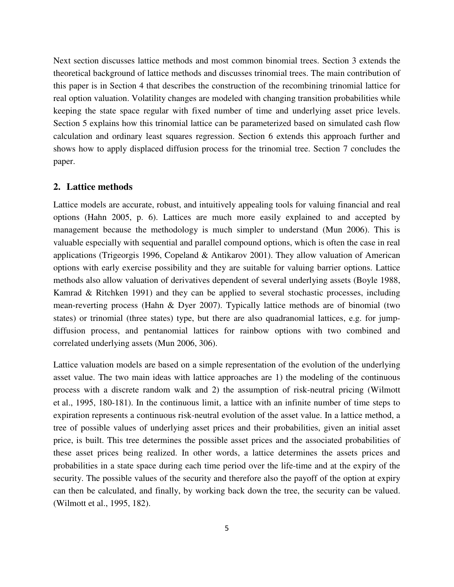Next section discusses lattice methods and most common binomial trees. Section 3 extends the theoretical background of lattice methods and discusses trinomial trees. The main contribution of this paper is in Section 4 that describes the construction of the recombining trinomial lattice for real option valuation. Volatility changes are modeled with changing transition probabilities while keeping the state space regular with fixed number of time and underlying asset price levels. Section 5 explains how this trinomial lattice can be parameterized based on simulated cash flow calculation and ordinary least squares regression. Section 6 extends this approach further and shows how to apply displaced diffusion process for the trinomial tree. Section 7 concludes the paper.

## **2. Lattice methods**

Lattice models are accurate, robust, and intuitively appealing tools for valuing financial and real options (Hahn 2005, p. 6). Lattices are much more easily explained to and accepted by management because the methodology is much simpler to understand (Mun 2006). This is valuable especially with sequential and parallel compound options, which is often the case in real applications (Trigeorgis 1996, Copeland & Antikarov 2001). They allow valuation of American options with early exercise possibility and they are suitable for valuing barrier options. Lattice methods also allow valuation of derivatives dependent of several underlying assets (Boyle 1988, Kamrad & Ritchken 1991) and they can be applied to several stochastic processes, including mean-reverting process (Hahn & Dyer 2007). Typically lattice methods are of binomial (two states) or trinomial (three states) type, but there are also quadranomial lattices, e.g. for jumpdiffusion process, and pentanomial lattices for rainbow options with two combined and correlated underlying assets (Mun 2006, 306).

Lattice valuation models are based on a simple representation of the evolution of the underlying asset value. The two main ideas with lattice approaches are 1) the modeling of the continuous process with a discrete random walk and 2) the assumption of risk-neutral pricing (Wilmott et al., 1995, 180-181). In the continuous limit, a lattice with an infinite number of time steps to expiration represents a continuous risk-neutral evolution of the asset value. In a lattice method, a tree of possible values of underlying asset prices and their probabilities, given an initial asset price, is built. This tree determines the possible asset prices and the associated probabilities of these asset prices being realized. In other words, a lattice determines the assets prices and probabilities in a state space during each time period over the life-time and at the expiry of the security. The possible values of the security and therefore also the payoff of the option at expiry can then be calculated, and finally, by working back down the tree, the security can be valued. (Wilmott et al., 1995, 182).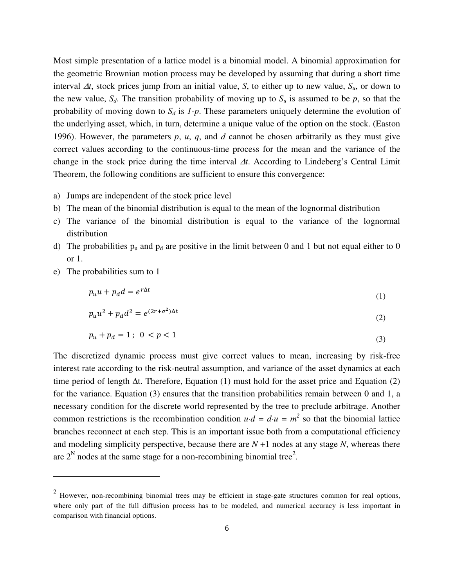Most simple presentation of a lattice model is a binomial model. A binomial approximation for the geometric Brownian motion process may be developed by assuming that during a short time interval ∆*t*, stock prices jump from an initial value, *S*, to either up to new value, *Su*, or down to the new value,  $S_d$ . The transition probability of moving up to  $S_u$  is assumed to be p, so that the probability of moving down to *Sd* is *1-p*. These parameters uniquely determine the evolution of the underlying asset, which, in turn, determine a unique value of the option on the stock. (Easton 1996). However, the parameters *p*, *u*, *q*, and *d* cannot be chosen arbitrarily as they must give correct values according to the continuous-time process for the mean and the variance of the change in the stock price during the time interval ∆*t*. According to Lindeberg's Central Limit Theorem, the following conditions are sufficient to ensure this convergence:

- a) Jumps are independent of the stock price level
- b) The mean of the binomial distribution is equal to the mean of the lognormal distribution
- c) The variance of the binomial distribution is equal to the variance of the lognormal distribution
- d) The probabilities  $p_u$  and  $p_d$  are positive in the limit between 0 and 1 but not equal either to 0 or 1.
- e) The probabilities sum to 1

 $\overline{a}$ 

$$
p_u u + p_d d = e^{r\Delta t} \tag{1}
$$

$$
p_u u^2 + p_d d^2 = e^{(2r + \sigma^2)\Delta t}
$$
 (2)

$$
p_u + p_d = 1; \ 0 < p < 1 \tag{3}
$$

The discretized dynamic process must give correct values to mean, increasing by risk-free interest rate according to the risk-neutral assumption, and variance of the asset dynamics at each time period of length ∆t. Therefore, Equation (1) must hold for the asset price and Equation (2) for the variance. Equation (3) ensures that the transition probabilities remain between 0 and 1, a necessary condition for the discrete world represented by the tree to preclude arbitrage. Another common restrictions is the recombination condition  $u \cdot d = d \cdot u = m^2$  so that the binomial lattice branches reconnect at each step. This is an important issue both from a computational efficiency and modeling simplicity perspective, because there are  $N + 1$  nodes at any stage  $N$ , whereas there are  $2^N$  nodes at the same stage for a non-recombining binomial tree<sup>2</sup>.

 $2$  However, non-recombining binomial trees may be efficient in stage-gate structures common for real options, where only part of the full diffusion process has to be modeled, and numerical accuracy is less important in comparison with financial options.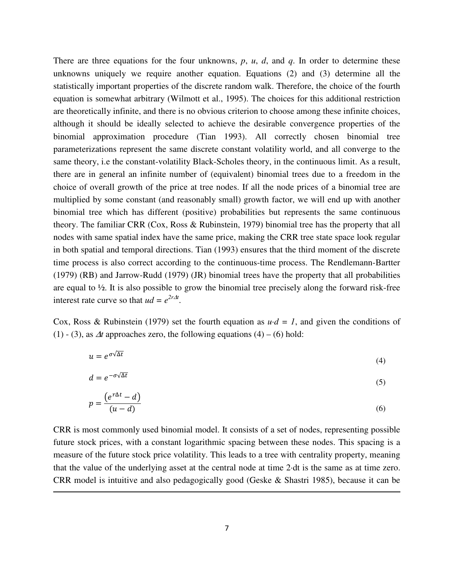There are three equations for the four unknowns, *p*, *u*, *d*, and *q*. In order to determine these unknowns uniquely we require another equation. Equations (2) and (3) determine all the statistically important properties of the discrete random walk. Therefore, the choice of the fourth equation is somewhat arbitrary (Wilmott et al., 1995). The choices for this additional restriction are theoretically infinite, and there is no obvious criterion to choose among these infinite choices, although it should be ideally selected to achieve the desirable convergence properties of the binomial approximation procedure (Tian 1993). All correctly chosen binomial tree parameterizations represent the same discrete constant volatility world, and all converge to the same theory, i.e the constant-volatility Black-Scholes theory, in the continuous limit. As a result, there are in general an infinite number of (equivalent) binomial trees due to a freedom in the choice of overall growth of the price at tree nodes. If all the node prices of a binomial tree are multiplied by some constant (and reasonably small) growth factor, we will end up with another binomial tree which has different (positive) probabilities but represents the same continuous theory. The familiar CRR (Cox, Ross & Rubinstein, 1979) binomial tree has the property that all nodes with same spatial index have the same price, making the CRR tree state space look regular in both spatial and temporal directions. Tian (1993) ensures that the third moment of the discrete time process is also correct according to the continuous-time process. The Rendlemann-Bartter (1979) (RB) and Jarrow-Rudd (1979) (JR) binomial trees have the property that all probabilities are equal to ½. It is also possible to grow the binomial tree precisely along the forward risk-free interest rate curve so that  $ud = e^{2r\Delta t}$ .

Cox, Ross & Rubinstein (1979) set the fourth equation as  $u \cdot d = 1$ , and given the conditions of (1) - (3), as  $\Delta t$  approaches zero, the following equations (4) – (6) hold:

$$
u = e^{\sigma \sqrt{\Delta t}} \tag{4}
$$

$$
d = e^{-\sigma\sqrt{\Delta t}} \tag{5}
$$

$$
p = \frac{(e^{r\Delta t} - d)}{(u - d)}
$$
(6)

CRR is most commonly used binomial model. It consists of a set of nodes, representing possible future stock prices, with a constant logarithmic spacing between these nodes. This spacing is a measure of the future stock price volatility. This leads to a tree with centrality property, meaning that the value of the underlying asset at the central node at time 2·dt is the same as at time zero. CRR model is intuitive and also pedagogically good (Geske & Shastri 1985), because it can be

l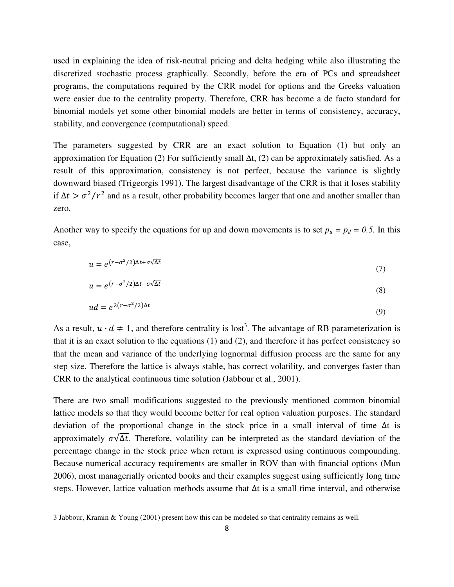used in explaining the idea of risk-neutral pricing and delta hedging while also illustrating the discretized stochastic process graphically. Secondly, before the era of PCs and spreadsheet programs, the computations required by the CRR model for options and the Greeks valuation were easier due to the centrality property. Therefore, CRR has become a de facto standard for binomial models yet some other binomial models are better in terms of consistency, accuracy, stability, and convergence (computational) speed.

The parameters suggested by CRR are an exact solution to Equation (1) but only an approximation for Equation (2) For sufficiently small  $\Delta t$ , (2) can be approximately satisfied. As a result of this approximation, consistency is not perfect, because the variance is slightly downward biased (Trigeorgis 1991). The largest disadvantage of the CRR is that it loses stability if  $\Delta t > \sigma^2/r^2$  and as a result, other probability becomes larger that one and another smaller than zero.

Another way to specify the equations for up and down movements is to set  $p_u = p_d = 0.5$ . In this case,

$$
u = e^{(r - \sigma^2/2)\Delta t + \sigma\sqrt{\Delta t}} \tag{7}
$$

$$
u = e^{(r - \sigma^2/2)\Delta t - \sigma\sqrt{\Delta t}} \tag{8}
$$

$$
ud = e^{2(r - \sigma^2/2)\Delta t} \tag{9}
$$

As a result,  $u \cdot d \neq 1$ , and therefore centrality is lost<sup>3</sup>. The advantage of RB parameterization is that it is an exact solution to the equations (1) and (2), and therefore it has perfect consistency so that the mean and variance of the underlying lognormal diffusion process are the same for any step size. Therefore the lattice is always stable, has correct volatility, and converges faster than CRR to the analytical continuous time solution (Jabbour et al., 2001).

There are two small modifications suggested to the previously mentioned common binomial lattice models so that they would become better for real option valuation purposes. The standard deviation of the proportional change in the stock price in a small interval of time Δt is approximately  $\sigma \sqrt{\Delta t}$ . Therefore, volatility can be interpreted as the standard deviation of the percentage change in the stock price when return is expressed using continuous compounding. Because numerical accuracy requirements are smaller in ROV than with financial options (Mun 2006), most managerially oriented books and their examples suggest using sufficiently long time steps. However, lattice valuation methods assume that Δt is a small time interval, and otherwise

<sup>3</sup> Jabbour, Kramin & Young (2001) present how this can be modeled so that centrality remains as well.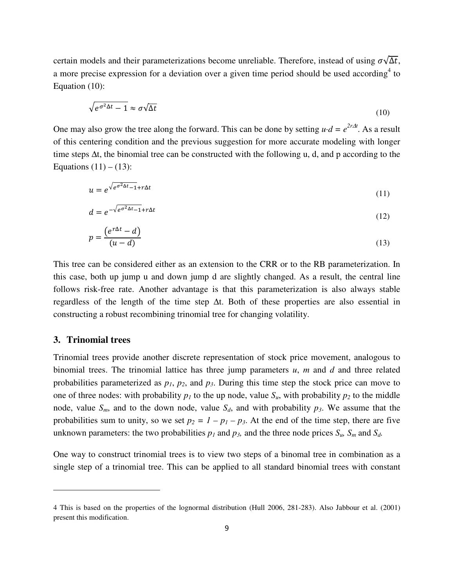certain models and their parameterizations become unreliable. Therefore, instead of using  $\sigma \sqrt{\Delta t}$ , a more precise expression for a deviation over a given time period should be used according<sup>4</sup> to Equation (10):

$$
\sqrt{e^{\sigma^2 \Delta t} - 1} \approx \sigma \sqrt{\Delta t} \tag{10}
$$

One may also grow the tree along the forward. This can be done by setting  $u \cdot d = e^{2r\Delta t}$ . As a result of this centering condition and the previous suggestion for more accurate modeling with longer time steps ∆t, the binomial tree can be constructed with the following u, d, and p according to the Equations  $(11) - (13)$ :

$$
u = e^{\sqrt{e^{\sigma^2 \Delta t} - 1} + r\Delta t} \tag{11}
$$

$$
d = e^{-\sqrt{e^{\sigma^2 \Delta t} - 1} + r\Delta t}
$$
 (12)

$$
p = \frac{(e^{r\Delta t} - d)}{(u - d)}
$$
(13)

This tree can be considered either as an extension to the CRR or to the RB parameterization. In this case, both up jump u and down jump d are slightly changed. As a result, the central line follows risk-free rate. Another advantage is that this parameterization is also always stable regardless of the length of the time step ∆t. Both of these properties are also essential in constructing a robust recombining trinomial tree for changing volatility.

#### **3. Trinomial trees**

 $\overline{a}$ 

Trinomial trees provide another discrete representation of stock price movement, analogous to binomial trees. The trinomial lattice has three jump parameters *u*, *m* and *d* and three related probabilities parameterized as *p1*, *p2*, and *p3*. During this time step the stock price can move to one of three nodes: with probability  $p_l$  to the up node, value  $S_u$ , with probability  $p_2$  to the middle node, value  $S_m$ , and to the down node, value  $S_d$ , and with probability  $p_3$ . We assume that the probabilities sum to unity, so we set  $p_2 = 1 - p_1 - p_3$ . At the end of the time step, there are five unknown parameters: the two probabilities  $p_l$  and  $p_3$ , and the three node prices  $S_u$ ,  $S_m$  and  $S_d$ .

One way to construct trinomial trees is to view two steps of a binomal tree in combination as a single step of a trinomial tree. This can be applied to all standard binomial trees with constant

<sup>4</sup> This is based on the properties of the lognormal distribution (Hull 2006, 281-283). Also Jabbour et al. (2001) present this modification.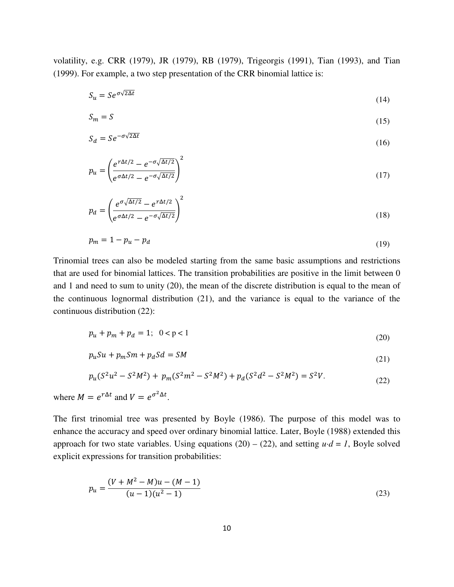volatility, e.g. CRR (1979), JR (1979), RB (1979), Trigeorgis (1991), Tian (1993), and Tian (1999). For example, a two step presentation of the CRR binomial lattice is:

$$
S_u = S e^{\sigma \sqrt{2\Delta t}} \tag{14}
$$

$$
S_m = S \tag{15}
$$

$$
S_d = S e^{-\sigma \sqrt{2\Delta t}} \tag{16}
$$

$$
p_u = \left(\frac{e^{r\Delta t/2} - e^{-\sigma\sqrt{\Delta t/2}}}{e^{\sigma\Delta t/2} - e^{-\sigma\sqrt{\Delta t/2}}}\right)^2\tag{17}
$$

$$
p_d = \left(\frac{e^{\sigma\sqrt{\Delta t/2}} - e^{r\Delta t/2}}{e^{\sigma\Delta t/2} - e^{-\sigma\sqrt{\Delta t/2}}}\right)^2\tag{18}
$$

$$
p_m = 1 - p_u - p_d \tag{19}
$$

Trinomial trees can also be modeled starting from the same basic assumptions and restrictions that are used for binomial lattices. The transition probabilities are positive in the limit between 0 and 1 and need to sum to unity (20), the mean of the discrete distribution is equal to the mean of the continuous lognormal distribution (21), and the variance is equal to the variance of the continuous distribution (22):

$$
p_u + p_m + p_d = 1; \ \ 0 < p < 1 \tag{20}
$$

$$
p_u S u + p_m S m + p_d S d = S M \tag{21}
$$

$$
p_u(S^2u^2 - S^2M^2) + p_m(S^2m^2 - S^2M^2) + p_d(S^2d^2 - S^2M^2) = S^2V.
$$
\n(22)

where  $M = e^{r\Delta t}$  and  $V = e^{\sigma^2 \Delta t}$ .

The first trinomial tree was presented by Boyle (1986). The purpose of this model was to enhance the accuracy and speed over ordinary binomial lattice. Later, Boyle (1988) extended this approach for two state variables. Using equations  $(20) - (22)$ , and setting  $u \cdot d = 1$ , Boyle solved explicit expressions for transition probabilities:

$$
p_u = \frac{(V + M^2 - M)u - (M - 1)}{(u - 1)(u^2 - 1)}
$$
\n(23)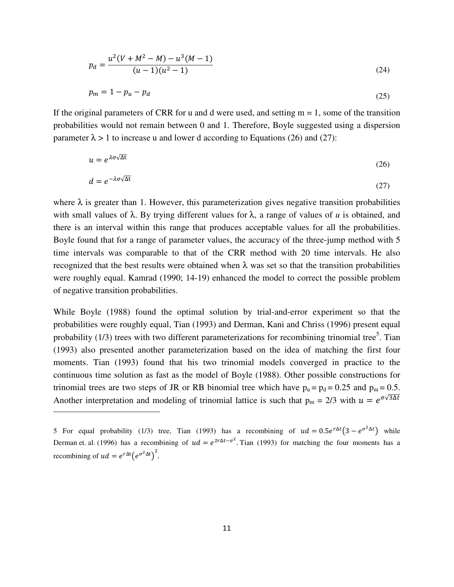$$
p_d = \frac{u^2(V + M^2 - M) - u^3(M - 1)}{(u - 1)(u^2 - 1)}
$$
\n(24)

$$
p_m = 1 - p_u - p_d \tag{25}
$$

If the original parameters of CRR for u and d were used, and setting  $m = 1$ , some of the transition probabilities would not remain between 0 and 1. Therefore, Boyle suggested using a dispersion parameter  $\lambda > 1$  to increase u and lower d according to Equations (26) and (27):

$$
u = e^{\lambda \sigma \sqrt{\Delta t}} \tag{26}
$$

$$
d = e^{-\lambda \sigma \sqrt{\Delta t}} \tag{27}
$$

where  $\lambda$  is greater than 1. However, this parameterization gives negative transition probabilities with small values of λ. By trying different values for λ, a range of values of *u* is obtained, and there is an interval within this range that produces acceptable values for all the probabilities. Boyle found that for a range of parameter values, the accuracy of the three-jump method with 5 time intervals was comparable to that of the CRR method with 20 time intervals. He also recognized that the best results were obtained when λ was set so that the transition probabilities were roughly equal. Kamrad (1990; 14-19) enhanced the model to correct the possible problem of negative transition probabilities.

While Boyle (1988) found the optimal solution by trial-and-error experiment so that the probabilities were roughly equal, Tian (1993) and Derman, Kani and Chriss (1996) present equal probability  $(1/3)$  trees with two different parameterizations for recombining trinomial tree<sup>5</sup>. Tian (1993) also presented another parameterization based on the idea of matching the first four moments. Tian (1993) found that his two trinomial models converged in practice to the continuous time solution as fast as the model of Boyle (1988). Other possible constructions for trinomial trees are two steps of JR or RB binomial tree which have  $p_u = p_d = 0.25$  and  $p_m = 0.5$ . Another interpretation and modeling of trinomial lattice is such that  $p_m = 2/3$  with  $u = e^{\sigma \sqrt{3} \Delta t}$ 

<sup>5</sup> For equal probability (1/3) tree, Tian (1993) has a recombining of  $ud = 0.5e^{r\Delta t}(3 - e^{\sigma^2 \Delta t})$  while Derman et. al. (1996) has a recombining of  $ud = e^{2r\Delta t - \sigma^2}$ . Tian (1993) for matching the four moments has a recombining of  $ud = e^{r\Delta t} (e^{\sigma^2 \Delta t})^2$ .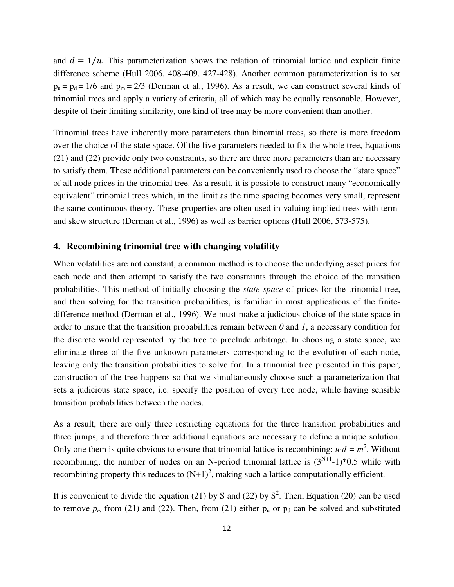and  $d = 1/u$ . This parameterization shows the relation of trinomial lattice and explicit finite difference scheme (Hull 2006, 408-409, 427-428). Another common parameterization is to set  $p_u = p_d = 1/6$  and  $p_m = 2/3$  (Derman et al., 1996). As a result, we can construct several kinds of trinomial trees and apply a variety of criteria, all of which may be equally reasonable. However, despite of their limiting similarity, one kind of tree may be more convenient than another.

Trinomial trees have inherently more parameters than binomial trees, so there is more freedom over the choice of the state space. Of the five parameters needed to fix the whole tree, Equations (21) and (22) provide only two constraints, so there are three more parameters than are necessary to satisfy them. These additional parameters can be conveniently used to choose the "state space" of all node prices in the trinomial tree. As a result, it is possible to construct many "economically equivalent" trinomial trees which, in the limit as the time spacing becomes very small, represent the same continuous theory. These properties are often used in valuing implied trees with termand skew structure (Derman et al., 1996) as well as barrier options (Hull 2006, 573-575).

#### **4. Recombining trinomial tree with changing volatility**

When volatilities are not constant, a common method is to choose the underlying asset prices for each node and then attempt to satisfy the two constraints through the choice of the transition probabilities. This method of initially choosing the *state space* of prices for the trinomial tree, and then solving for the transition probabilities, is familiar in most applications of the finitedifference method (Derman et al., 1996). We must make a judicious choice of the state space in order to insure that the transition probabilities remain between *0* and *1*, a necessary condition for the discrete world represented by the tree to preclude arbitrage. In choosing a state space, we eliminate three of the five unknown parameters corresponding to the evolution of each node, leaving only the transition probabilities to solve for. In a trinomial tree presented in this paper, construction of the tree happens so that we simultaneously choose such a parameterization that sets a judicious state space, i.e. specify the position of every tree node, while having sensible transition probabilities between the nodes.

As a result, there are only three restricting equations for the three transition probabilities and three jumps, and therefore three additional equations are necessary to define a unique solution. Only one them is quite obvious to ensure that trinomial lattice is recombining:  $u \cdot d = m^2$ . Without recombining, the number of nodes on an N-period trinomial lattice is  $(3^{N+1}-1)*0.5$  while with recombining property this reduces to  $(N+1)^2$ , making such a lattice computationally efficient.

It is convenient to divide the equation (21) by S and (22) by  $S^2$ . Then, Equation (20) can be used to remove  $p_m$  from (21) and (22). Then, from (21) either  $p_u$  or  $p_d$  can be solved and substituted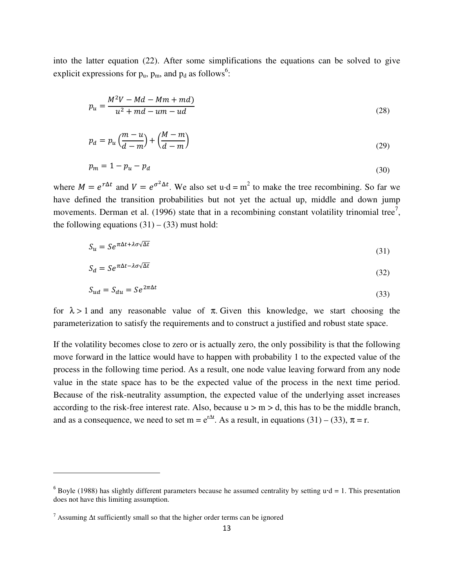into the latter equation (22). After some simplifications the equations can be solved to give explicit expressions for  $p_u$ ,  $p_m$ , and  $p_d$  as follows<sup>6</sup>:

$$
p_u = \frac{M^2V - Md - Mm + md}{u^2 + md - um - ud}
$$
\n
$$
(28)
$$

$$
p_d = p_u \left(\frac{m-u}{d-m}\right) + \left(\frac{M-m}{d-m}\right) \tag{29}
$$

$$
p_m = 1 - p_u - p_d \tag{30}
$$

where  $M = e^{r\Delta t}$  and  $V = e^{\sigma^2 \Delta t}$ . We also set u·d = m<sup>2</sup> to make the tree recombining. So far we have defined the transition probabilities but not yet the actual up, middle and down jump movements. Derman et al. (1996) state that in a recombining constant volatility trinomial tree<sup>7</sup>, the following equations  $(31) - (33)$  must hold:

$$
S_u = S e^{\pi \Delta t + \lambda \sigma \sqrt{\Delta t}} \tag{31}
$$

$$
S_d = S e^{\pi \Delta t - \lambda \sigma \sqrt{\Delta t}} \tag{32}
$$

$$
S_{ud} = S_{du} = S e^{2\pi \Delta t} \tag{33}
$$

for  $\lambda > 1$  and any reasonable value of  $\pi$ . Given this knowledge, we start choosing the parameterization to satisfy the requirements and to construct a justified and robust state space.

If the volatility becomes close to zero or is actually zero, the only possibility is that the following move forward in the lattice would have to happen with probability 1 to the expected value of the process in the following time period. As a result, one node value leaving forward from any node value in the state space has to be the expected value of the process in the next time period. Because of the risk-neutrality assumption, the expected value of the underlying asset increases according to the risk-free interest rate. Also, because  $u > m > d$ , this has to be the middle branch, and as a consequence, we need to set m =  $e^{r\Delta t}$ . As a result, in equations (31) – (33),  $\pi$  = r.

<sup>&</sup>lt;sup>6</sup> Boyle (1988) has slightly different parameters because he assumed centrality by setting  $u \cdot d = 1$ . This presentation does not have this limiting assumption.

<sup>7</sup> Assuming ∆t sufficiently small so that the higher order terms can be ignored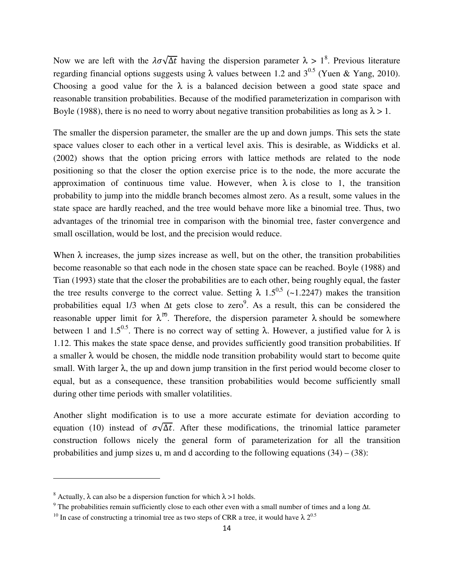Now we are left with the  $\lambda \sigma \sqrt{\Delta t}$  having the dispersion parameter  $\lambda > 1^8$ . Previous literature regarding financial options suggests using λ values between 1.2 and  $3^{0.5}$  (Yuen & Yang, 2010). Choosing a good value for the  $\lambda$  is a balanced decision between a good state space and reasonable transition probabilities. Because of the modified parameterization in comparison with Boyle (1988), there is no need to worry about negative transition probabilities as long as  $\lambda > 1$ .

The smaller the dispersion parameter, the smaller are the up and down jumps. This sets the state space values closer to each other in a vertical level axis. This is desirable, as Widdicks et al. (2002) shows that the option pricing errors with lattice methods are related to the node positioning so that the closer the option exercise price is to the node, the more accurate the approximation of continuous time value. However, when  $\lambda$  is close to 1, the transition probability to jump into the middle branch becomes almost zero. As a result, some values in the state space are hardly reached, and the tree would behave more like a binomial tree. Thus, two advantages of the trinomial tree in comparison with the binomial tree, faster convergence and small oscillation, would be lost, and the precision would reduce.

When  $\lambda$  increases, the jump sizes increase as well, but on the other, the transition probabilities become reasonable so that each node in the chosen state space can be reached. Boyle (1988) and Tian (1993) state that the closer the probabilities are to each other, being roughly equal, the faster the tree results converge to the correct value. Setting  $\lambda$  1.5<sup>0,5</sup> (~1.2247) makes the transition probabilities equal 1/3 when  $\Delta t$  gets close to zero<sup>9</sup>. As a result, this can be considered the reasonable upper limit for  $\lambda^{10}$ . Therefore, the dispersion parameter  $\lambda$  should be somewhere between 1 and 1.5<sup>0.5</sup>. There is no correct way of setting  $\lambda$ . However, a justified value for  $\lambda$  is 1.12. This makes the state space dense, and provides sufficiently good transition probabilities. If a smaller  $\lambda$  would be chosen, the middle node transition probability would start to become quite small. With larger  $\lambda$ , the up and down jump transition in the first period would become closer to equal, but as a consequence, these transition probabilities would become sufficiently small during other time periods with smaller volatilities.

Another slight modification is to use a more accurate estimate for deviation according to equation (10) instead of  $\sigma\sqrt{\Delta t}$ . After these modifications, the trinomial lattice parameter construction follows nicely the general form of parameterization for all the transition probabilities and jump sizes u, m and d according to the following equations  $(34) - (38)$ :

l

<sup>&</sup>lt;sup>8</sup> Actually,  $\lambda$  can also be a dispersion function for which  $\lambda > 1$  holds.

<sup>&</sup>lt;sup>9</sup> The probabilities remain sufficiently close to each other even with a small number of times and a long  $\Delta t$ .

<sup>&</sup>lt;sup>10</sup> In case of constructing a trinomial tree as two steps of CRR a tree, it would have  $\lambda$  2<sup>0.5</sup>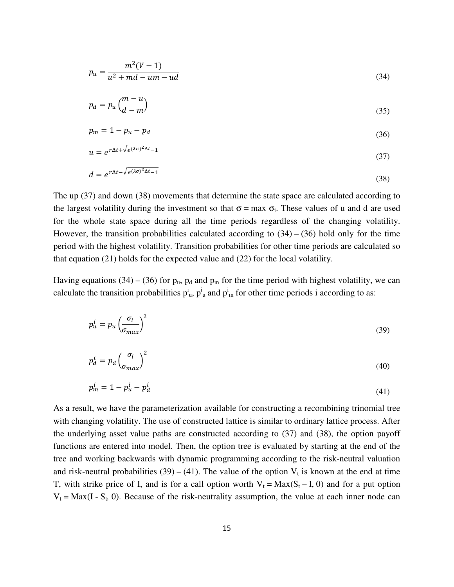$$
p_u = \frac{m^2(V-1)}{u^2 + md - um - ud}
$$
\n(34)

$$
p_d = p_u \left(\frac{m-u}{d-m}\right) \tag{35}
$$

$$
p_m = 1 - p_u - p_d \tag{36}
$$

$$
u = e^{r\Delta t + \sqrt{e^{(\lambda \sigma)^2 \Delta t} - 1}} \tag{37}
$$

$$
d = e^{r\Delta t - \sqrt{e^{(\lambda \sigma)^2 \Delta t} - 1}} \tag{38}
$$

The up (37) and down (38) movements that determine the state space are calculated according to the largest volatility during the investment so that  $\sigma$  = max  $\sigma_i$ . These values of u and d are used for the whole state space during all the time periods regardless of the changing volatility. However, the transition probabilities calculated according to  $(34) - (36)$  hold only for the time period with the highest volatility. Transition probabilities for other time periods are calculated so that equation (21) holds for the expected value and (22) for the local volatility.

Having equations (34) – (36) for  $p_u$ ,  $p_d$  and  $p_m$  for the time period with highest volatility, we can calculate the transition probabilities  $p_{u}^{i}$ ,  $p_{u}^{i}$  and  $p_{m}^{i}$  for other time periods i according to as:

$$
p_u^i = p_u \left(\frac{\sigma_i}{\sigma_{max}}\right)^2 \tag{39}
$$

$$
p_d^i = p_d \left(\frac{\sigma_i}{\sigma_{max}}\right)^2 \tag{40}
$$

$$
p_m^i = 1 - p_u^i - p_d^i \tag{41}
$$

As a result, we have the parameterization available for constructing a recombining trinomial tree with changing volatility. The use of constructed lattice is similar to ordinary lattice process. After the underlying asset value paths are constructed according to (37) and (38), the option payoff functions are entered into model. Then, the option tree is evaluated by starting at the end of the tree and working backwards with dynamic programming according to the risk-neutral valuation and risk-neutral probabilities (39) – (41). The value of the option  $V_t$  is known at the end at time T, with strike price of I, and is for a call option worth  $V_t = Max(S_t - I, 0)$  and for a put option  $V_t = Max(I - S_t, 0)$ . Because of the risk-neutrality assumption, the value at each inner node can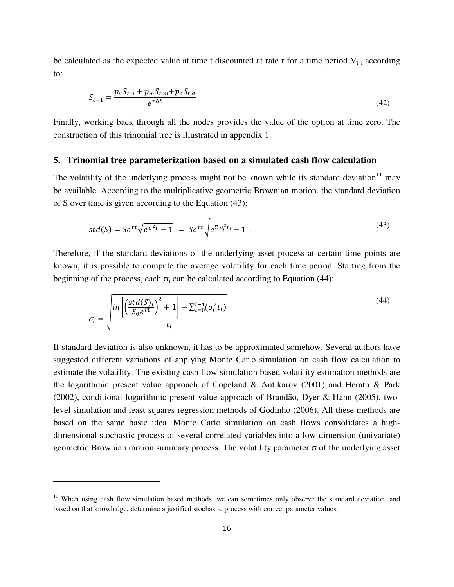be calculated as the expected value at time t discounted at rate r for a time period  $V_{t-1}$  according to:

$$
S_{t-1} = \frac{p_u S_{t,u} + p_m S_{t,m} + p_d S_{t,d}}{e^{r\Delta t}}
$$
\n
$$
\tag{42}
$$

Finally, working back through all the nodes provides the value of the option at time zero. The construction of this trinomial tree is illustrated in appendix 1.

#### **5. Trinomial tree parameterization based on a simulated cash flow calculation**

The volatility of the underlying process might not be known while its standard deviation $11$  may be available. According to the multiplicative geometric Brownian motion, the standard deviation of S over time is given according to the Equation (43):

$$
std(S) = Se^{rt}\sqrt{e^{\sigma^2 t} - 1} = Se^{rt}\sqrt{e^{\Sigma \sigma_i^2 t_i} - 1}.
$$
\n(43)

Therefore, if the standard deviations of the underlying asset process at certain time points are known, it is possible to compute the average volatility for each time period. Starting from the beginning of the process, each  $\sigma_i$  can be calculated according to Equation (44):

$$
\sigma_i = \sqrt{\frac{\ln\left[\left(\frac{std(S)_i}{S_0 e^{rt}}\right)^2 + 1\right] - \sum_{i=0}^{i-1} (\sigma_i^2 t_i)}{t_i}}
$$
\n(44)

If standard deviation is also unknown, it has to be approximated somehow. Several authors have suggested different variations of applying Monte Carlo simulation on cash flow calculation to estimate the volatility. The existing cash flow simulation based volatility estimation methods are the logarithmic present value approach of Copeland & Antikarov (2001) and Herath & Park (2002), conditional logarithmic present value approach of Brandão, Dyer & Hahn (2005), twolevel simulation and least-squares regression methods of Godinho (2006). All these methods are based on the same basic idea. Monte Carlo simulation on cash flows consolidates a highdimensional stochastic process of several correlated variables into a low-dimension (univariate) geometric Brownian motion summary process. The volatility parameter  $\sigma$  of the underlying asset

 $11$  When using cash flow simulation based methods, we can sometimes only observe the standard deviation, and based on that knowledge, determine a justified stochastic process with correct parameter values.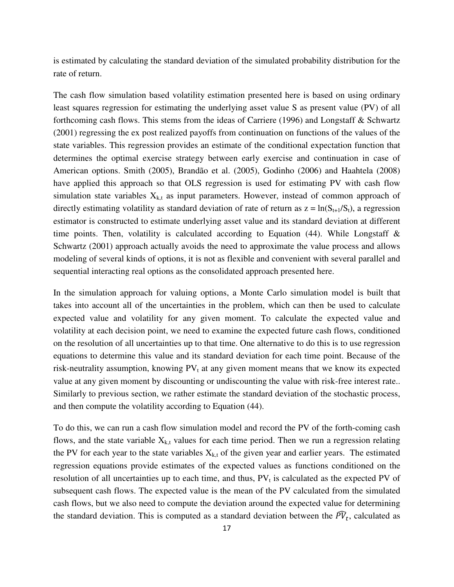is estimated by calculating the standard deviation of the simulated probability distribution for the rate of return.

The cash flow simulation based volatility estimation presented here is based on using ordinary least squares regression for estimating the underlying asset value S as present value (PV) of all forthcoming cash flows. This stems from the ideas of Carriere (1996) and Longstaff & Schwartz (2001) regressing the ex post realized payoffs from continuation on functions of the values of the state variables. This regression provides an estimate of the conditional expectation function that determines the optimal exercise strategy between early exercise and continuation in case of American options. Smith (2005), Brandão et al. (2005), Godinho (2006) and Haahtela (2008) have applied this approach so that OLS regression is used for estimating PV with cash flow simulation state variables  $X_{k,t}$  as input parameters. However, instead of common approach of directly estimating volatility as standard deviation of rate of return as  $z = ln(S_{t+1}/S_t)$ , a regression estimator is constructed to estimate underlying asset value and its standard deviation at different time points. Then, volatility is calculated according to Equation  $(44)$ . While Longstaff & Schwartz (2001) approach actually avoids the need to approximate the value process and allows modeling of several kinds of options, it is not as flexible and convenient with several parallel and sequential interacting real options as the consolidated approach presented here.

In the simulation approach for valuing options, a Monte Carlo simulation model is built that takes into account all of the uncertainties in the problem, which can then be used to calculate expected value and volatility for any given moment. To calculate the expected value and volatility at each decision point, we need to examine the expected future cash flows, conditioned on the resolution of all uncertainties up to that time. One alternative to do this is to use regression equations to determine this value and its standard deviation for each time point. Because of the risk-neutrality assumption, knowing  $PV_t$  at any given moment means that we know its expected value at any given moment by discounting or undiscounting the value with risk-free interest rate.. Similarly to previous section, we rather estimate the standard deviation of the stochastic process, and then compute the volatility according to Equation (44).

To do this, we can run a cash flow simulation model and record the PV of the forth-coming cash flows, and the state variable  $X_{k,t}$  values for each time period. Then we run a regression relating the PV for each year to the state variables  $X_{k,t}$  of the given year and earlier years. The estimated regression equations provide estimates of the expected values as functions conditioned on the resolution of all uncertainties up to each time, and thus,  $PV_t$  is calculated as the expected PV of subsequent cash flows. The expected value is the mean of the PV calculated from the simulated cash flows, but we also need to compute the deviation around the expected value for determining the standard deviation. This is computed as a standard deviation between the  $\bar{PV}_t$ , calculated as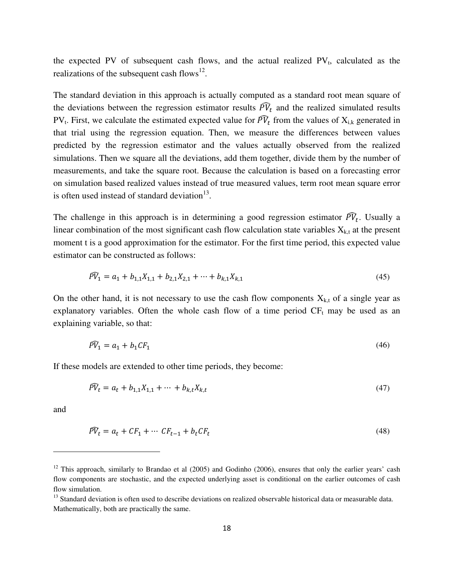the expected PV of subsequent cash flows, and the actual realized  $PV_t$ , calculated as the realizations of the subsequent cash flows<sup>12</sup>.

The standard deviation in this approach is actually computed as a standard root mean square of the deviations between the regression estimator results  $\bar{P}V_t$  and the realized simulated results PV<sub>t</sub>. First, we calculate the estimated expected value for  $\bar{PV}_t$  from the values of  $X_{i,k}$  generated in that trial using the regression equation. Then, we measure the differences between values predicted by the regression estimator and the values actually observed from the realized simulations. Then we square all the deviations, add them together, divide them by the number of measurements, and take the square root. Because the calculation is based on a forecasting error on simulation based realized values instead of true measured values, term root mean square error is often used instead of standard deviation $13$ .

The challenge in this approach is in determining a good regression estimator  $\overline{PV}_t$ . Usually a linear combination of the most significant cash flow calculation state variables  $X_{k,t}$  at the present moment t is a good approximation for the estimator. For the first time period, this expected value estimator can be constructed as follows:

$$
\widehat{PV}_1 = a_1 + b_{1,1}X_{1,1} + b_{2,1}X_{2,1} + \dots + b_{k,1}X_{k,1} \tag{45}
$$

On the other hand, it is not necessary to use the cash flow components  $X_{k,t}$  of a single year as explanatory variables. Often the whole cash flow of a time period  $CF<sub>t</sub>$  may be used as an explaining variable, so that:

$$
\widehat{PV}_1 = a_1 + b_1 CF_1 \tag{46}
$$

If these models are extended to other time periods, they become:

$$
\widehat{PV}_t = a_t + b_{1,1}X_{1,1} + \dots + b_{k,t}X_{k,t} \tag{47}
$$

and

$$
\widehat{PV}_t = a_t + CF_1 + \dots \; CF_{t-1} + b_t CF_t \tag{48}
$$

<sup>&</sup>lt;sup>12</sup> This approach, similarly to Brandao et al  $(2005)$  and Godinho  $(2006)$ , ensures that only the earlier years' cash flow components are stochastic, and the expected underlying asset is conditional on the earlier outcomes of cash flow simulation.

<sup>&</sup>lt;sup>13</sup> Standard deviation is often used to describe deviations on realized observable historical data or measurable data. Mathematically, both are practically the same.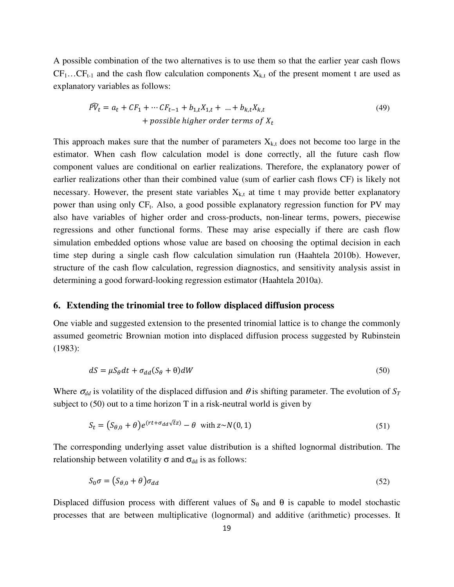A possible combination of the two alternatives is to use them so that the earlier year cash flows  $CF_1...CF_{t-1}$  and the cash flow calculation components  $X_{k,t}$  of the present moment t are used as explanatory variables as follows:

$$
\begin{aligned} \n\widehat{PV}_t &= a_t + CF_1 + \dots + CF_{t-1} + b_{1,t}X_{1,t} + \dots + b_{k,t}X_{k,t} \\ \n&\quad + \text{possible higher order terms of } X_t \n\end{aligned} \tag{49}
$$

This approach makes sure that the number of parameters  $X_{k,t}$  does not become too large in the estimator. When cash flow calculation model is done correctly, all the future cash flow component values are conditional on earlier realizations. Therefore, the explanatory power of earlier realizations other than their combined value (sum of earlier cash flows CF) is likely not necessary. However, the present state variables  $X_{k,t}$  at time t may provide better explanatory power than using only CF<sub>t</sub>. Also, a good possible explanatory regression function for PV may also have variables of higher order and cross-products, non-linear terms, powers, piecewise regressions and other functional forms. These may arise especially if there are cash flow simulation embedded options whose value are based on choosing the optimal decision in each time step during a single cash flow calculation simulation run (Haahtela 2010b). However, structure of the cash flow calculation, regression diagnostics, and sensitivity analysis assist in determining a good forward-looking regression estimator (Haahtela 2010a).

## **6. Extending the trinomial tree to follow displaced diffusion process**

One viable and suggested extension to the presented trinomial lattice is to change the commonly assumed geometric Brownian motion into displaced diffusion process suggested by Rubinstein (1983):

$$
dS = \mu S_{\theta} dt + \sigma_{dd} (S_{\theta} + \theta) dW \tag{50}
$$

Where  $\sigma_{dd}$  is volatility of the displaced diffusion and  $\theta$  is shifting parameter. The evolution of  $S_T$ subject to (50) out to a time horizon T in a risk-neutral world is given by

$$
S_t = (S_{\theta,0} + \theta)e^{(rt + \sigma_{dd}\sqrt{tz})} - \theta \text{ with } z \sim N(0,1)
$$
 (51)

The corresponding underlying asset value distribution is a shifted lognormal distribution. The relationship between volatility  $\sigma$  and  $\sigma_{dd}$  is as follows:

$$
S_0 \sigma = (S_{\theta,0} + \theta) \sigma_{dd} \tag{52}
$$

Displaced diffusion process with different values of  $S_\theta$  and  $\theta$  is capable to model stochastic processes that are between multiplicative (lognormal) and additive (arithmetic) processes. It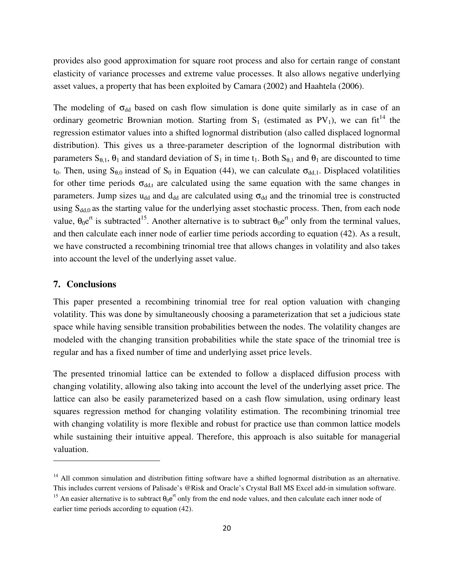provides also good approximation for square root process and also for certain range of constant elasticity of variance processes and extreme value processes. It also allows negative underlying asset values, a property that has been exploited by Camara (2002) and Haahtela (2006).

The modeling of  $\sigma_{dd}$  based on cash flow simulation is done quite similarly as in case of an ordinary geometric Brownian motion. Starting from  $S_1$  (estimated as PV<sub>1</sub>), we can fit<sup>14</sup> the regression estimator values into a shifted lognormal distribution (also called displaced lognormal distribution). This gives us a three-parameter description of the lognormal distribution with parameters  $S_{\theta,1}$ ,  $\theta_1$  and standard deviation of  $S_1$  in time  $t_1$ . Both  $S_{\theta,1}$  and  $\theta_1$  are discounted to time t<sub>0</sub>. Then, using S<sub>θ,0</sub> instead of S<sub>0</sub> in Equation (44), we can calculate  $\sigma_{dd,1}$ . Displaced volatilities for other time periods  $\sigma_{dd,t}$  are calculated using the same equation with the same changes in parameters. Jump sizes u<sub>dd</sub> and d<sub>dd</sub> are calculated using  $\sigma_{dd}$  and the trinomial tree is constructed using  $S_{dd,0}$  as the starting value for the underlying asset stochastic process. Then, from each node value,  $\theta_0 e^{rt}$  is subtracted<sup>15</sup>. Another alternative is to subtract  $\theta_0 e^{rt}$  only from the terminal values, and then calculate each inner node of earlier time periods according to equation (42). As a result, we have constructed a recombining trinomial tree that allows changes in volatility and also takes into account the level of the underlying asset value.

#### **7. Conclusions**

l

This paper presented a recombining trinomial tree for real option valuation with changing volatility. This was done by simultaneously choosing a parameterization that set a judicious state space while having sensible transition probabilities between the nodes. The volatility changes are modeled with the changing transition probabilities while the state space of the trinomial tree is regular and has a fixed number of time and underlying asset price levels.

The presented trinomial lattice can be extended to follow a displaced diffusion process with changing volatility, allowing also taking into account the level of the underlying asset price. The lattice can also be easily parameterized based on a cash flow simulation, using ordinary least squares regression method for changing volatility estimation. The recombining trinomial tree with changing volatility is more flexible and robust for practice use than common lattice models while sustaining their intuitive appeal. Therefore, this approach is also suitable for managerial valuation.

 $14$  All common simulation and distribution fitting software have a shifted lognormal distribution as an alternative. This includes current versions of Palisade's @Risk and Oracle's Crystal Ball MS Excel add-in simulation software.

<sup>&</sup>lt;sup>15</sup> An easier alternative is to subtract  $\theta_0 e^{rt}$  only from the end node values, and then calculate each inner node of earlier time periods according to equation (42).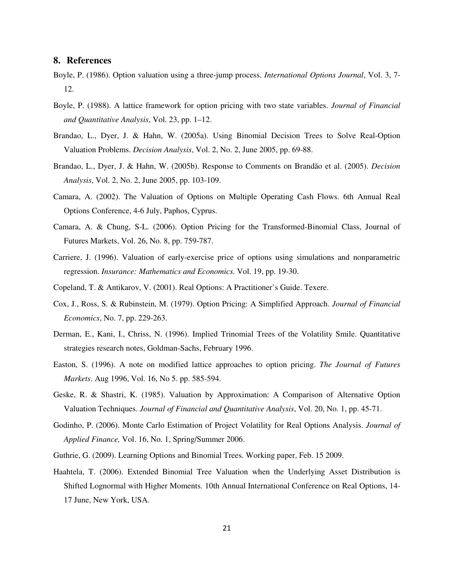#### **8. References**

- Boyle, P. (1986). Option valuation using a three-jump process. *International Options Journal*, Vol. 3, 7- 12.
- Boyle, P. (1988). A lattice framework for option pricing with two state variables. *Journal of Financial and Quantitative Analysis*, Vol. 23, pp. 1–12.
- Brandao, L., Dyer, J. & Hahn, W. (2005a). Using Binomial Decision Trees to Solve Real-Option Valuation Problems. *Decision Analysis*, Vol. 2, No. 2, June 2005, pp. 69-88.
- Brandao, L., Dyer, J. & Hahn, W. (2005b). Response to Comments on Brandão et al. (2005). *Decision Analysis*, Vol. 2, No. 2, June 2005, pp. 103-109.
- Camara, A. (2002). The Valuation of Options on Multiple Operating Cash Flows. 6th Annual Real Options Conference, 4-6 July, Paphos, Cyprus.
- Camara, A. & Chung, S-L. (2006). Option Pricing for the Transformed-Binomial Class, Journal of Futures Markets, Vol. 26, No. 8, pp. 759-787.
- Carriere, J. (1996). Valuation of early-exercise price of options using simulations and nonparametric regression. *Insurance: Mathematics and Economics.* Vol. 19, pp. 19-30.
- Copeland, T. & Antikarov, V. (2001). Real Options: A Practitioner's Guide. Texere.
- Cox, J., Ross, S. & Rubinstein, M. (1979). Option Pricing: A Simplified Approach. *Journal of Financial Economics*, No. 7, pp. 229-263.
- Derman, E., Kani, I., Chriss, N. (1996). Implied Trinomial Trees of the Volatility Smile. Quantitative strategies research notes, Goldman-Sachs, February 1996.
- Easton, S. (1996). A note on modified lattice approaches to option pricing. *The Journal of Futures Markets*. Aug 1996, Vol. 16, No 5. pp. 585-594.
- Geske, R. & Shastri, K. (1985). Valuation by Approximation: A Comparison of Alternative Option Valuation Techniques. *Journal of Financial and Quantitative Analysis*, Vol. 20, No. 1, pp. 45-71.
- Godinho, P. (2006). Monte Carlo Estimation of Project Volatility for Real Options Analysis. *Journal of Applied Finance,* Vol. 16, No. 1, Spring/Summer 2006.
- Guthrie, G. (2009). Learning Options and Binomial Trees. Working paper, Feb. 15 2009.
- Haahtela, T. (2006). Extended Binomial Tree Valuation when the Underlying Asset Distribution is Shifted Lognormal with Higher Moments. 10th Annual International Conference on Real Options, 14- 17 June, New York, USA.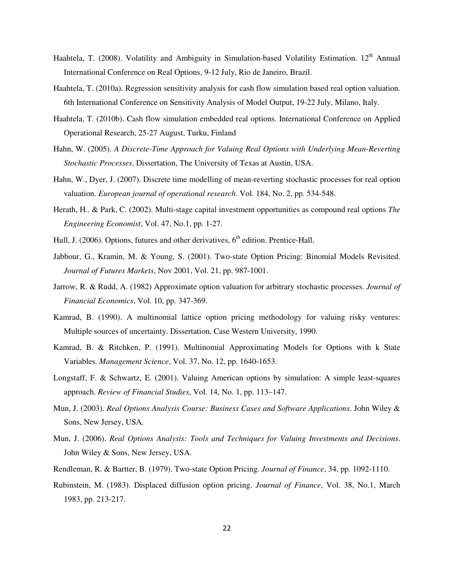- Haahtela, T. (2008). Volatility and Ambiguity in Simulation-based Volatility Estimation. 12<sup>th</sup> Annual International Conference on Real Options, 9-12 July, Rio de Janeiro, Brazil.
- Haahtela, T. (2010a). Regression sensitivity analysis for cash flow simulation based real option valuation. 6th International Conference on Sensitivity Analysis of Model Output, 19-22 July, Milano, Italy.
- Haahtela, T. (2010b). Cash flow simulation embedded real options. International Conference on Applied Operational Research, 25-27 August, Turku, Finland
- Hahn, W. (2005). *A Discrete-Time Approach for Valuing Real Options with Underlying Mean-Reverting Stochastic Processes*. Dissertation, The University of Texas at Austin, USA.
- Hahn, W., Dyer, J. (2007). Discrete time modelling of mean-reverting stochastic processes for real option valuation. *European journal of operational research*. Vol. 184, No. 2, pp. 534-548.
- Herath, H.. & Park, C. (2002). Multi-stage capital investment opportunities as compound real options *The Engineering Economist*, Vol. 47, No.1, pp. 1-27.
- Hull, J. (2006). Options, futures and other derivatives,  $6<sup>th</sup>$  edition. Prentice-Hall.
- Jabbour, G., Kramin, M. & Young, S. (2001). Two-state Option Pricing: Binomial Models Revisited. *Journal of Futures Markets*, Nov 2001, Vol. 21, pp. 987-1001.
- Jarrow, R. & Rudd, A. (1982) Approximate option valuation for arbitrary stochastic processes. *Journal of Financial Economics*, Vol. 10, pp. 347-369.
- Kamrad, B. (1990). A multinomial lattice option pricing methodology for valuing risky ventures: Multiple sources of uncertainty. Dissertation, Case Western University, 1990.
- Kamrad, B. & Ritchken, P. (1991). Multinomial Approximating Models for Options with k State Variables. *Management Science*, Vol. 37, No. 12, pp. 1640-1653.
- Longstaff, F. & Schwartz, E. (2001). Valuing American options by simulation: A simple least-squares approach. *Review of Financial Studies*, Vol. 14, No. 1, pp. 113–147.
- Mun, J. (2003). *Real Options Analysis Course: Business Cases and Software Applications*. John Wiley & Sons, New Jersey, USA.
- Mun, J. (2006). *Real Options Analysis: Tools and Techniques for Valuing Investments and Decisions*. John Wiley & Sons, New Jersey, USA.
- Rendleman, R. & Bartter, B. (1979). Two-state Option Pricing. *Journal of Finance*, 34, pp. 1092-1110.
- Rubinstein, M. (1983). Displaced diffusion option pricing. *Journal of Finance*, Vol. 38, No.1, March 1983, pp. 213-217.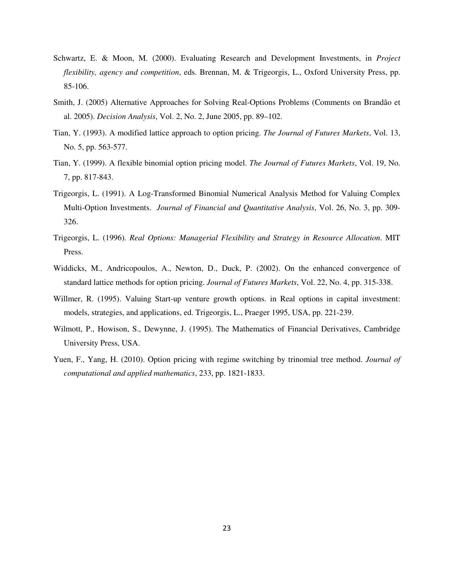- Schwartz, E. & Moon, M. (2000). Evaluating Research and Development Investments, in *Project flexibility, agency and competition*, eds. Brennan, M. & Trigeorgis, L., Oxford University Press, pp. 85-106.
- Smith, J. (2005) Alternative Approaches for Solving Real-Options Problems (Comments on Brandão et al. 2005). *Decision Analysis*, Vol. 2, No. 2, June 2005, pp. 89–102.
- Tian, Y. (1993). A modified lattice approach to option pricing. *The Journal of Futures Markets*, Vol. 13, No. 5, pp. 563-577.
- Tian, Y. (1999). A flexible binomial option pricing model. *The Journal of Futures Markets*, Vol. 19, No. 7, pp. 817-843.
- Trigeorgis, L. (1991). A Log-Transformed Binomial Numerical Analysis Method for Valuing Complex Multi-Option Investments. *Journal of Financial and Quantitative Analysis*, Vol. 26, No. 3, pp. 309- 326.
- Trigeorgis, L. (1996). *Real Options: Managerial Flexibility and Strategy in Resource Allocation*. MIT Press.
- Widdicks, M., Andricopoulos, A., Newton, D., Duck, P. (2002). On the enhanced convergence of standard lattice methods for option pricing. *Journal of Futures Markets*, Vol. 22, No. 4, pp. 315-338.
- Willmer, R. (1995). Valuing Start-up venture growth options. in Real options in capital investment: models, strategies, and applications, ed. Trigeorgis, L., Praeger 1995, USA, pp. 221-239.
- Wilmott, P., Howison, S., Dewynne, J. (1995). The Mathematics of Financial Derivatives, Cambridge University Press, USA.
- Yuen, F., Yang, H. (2010). Option pricing with regime switching by trinomial tree method. *Journal of computational and applied mathematics*, 233, pp. 1821-1833.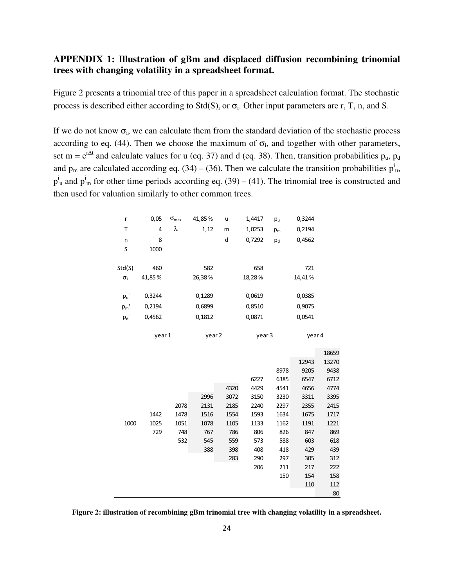## **APPENDIX 1: Illustration of gBm and displaced diffusion recombining trinomial trees with changing volatility in a spreadsheet format.**

Figure 2 presents a trinomial tree of this paper in a spreadsheet calculation format. The stochastic process is described either according to  $Std(S)$  or  $\sigma_i$ . Other input parameters are r, T, n, and S.

If we do not know  $\sigma_i$ , we can calculate them from the standard deviation of the stochastic process according to eq. (44). Then we choose the maximum of  $\sigma_i$ , and together with other parameters, set m =  $e^{r\Delta t}$  and calculate values for u (eq. 37) and d (eq. 38). Then, transition probabilities  $p_u$ ,  $p_d$ and  $p_m$  are calculated according eq. (34) – (36). Then we calculate the transition probabilities  $p_u^i$ ,  $p_{\mu}^{i}$  and  $p_{\mu}^{i}$  for other time periods according eq. (39) – (41). The trinomial tree is constructed and then used for valuation similarly to other common trees.

| r                | 0,05   | $\sigma_{\text{max}}$ | 41,85% | u    | 1,4417 | $p_u$ | 0,3244 |                |
|------------------|--------|-----------------------|--------|------|--------|-------|--------|----------------|
| Τ                | 4      | λ                     | 1,12   | m    | 1,0253 | $p_m$ | 0,2194 |                |
| n                | 8      |                       |        | d    | 0,7292 | $p_d$ | 0,4562 |                |
| S                | 1000   |                       |        |      |        |       |        |                |
|                  |        |                       |        |      |        |       |        |                |
| $Std(S)_{i}$     | 460    |                       | 582    |      | 658    |       | 721    |                |
| $\sigma_{\rm i}$ | 41,85% |                       | 26,38% |      | 18,28% |       | 14,41% |                |
|                  |        |                       |        |      |        |       |        |                |
| $p_u$ '          | 0,3244 |                       | 0,1289 |      | 0,0619 |       | 0,0385 |                |
| $p_m$ '          | 0,2194 |                       | 0,6899 |      | 0,8510 |       | 0,9075 |                |
| $p_d$ '          | 0,4562 |                       | 0,1812 |      | 0,0871 |       | 0,0541 |                |
|                  |        |                       |        |      |        |       |        |                |
|                  | year 1 |                       | year 2 |      | year 3 |       | year 4 |                |
|                  |        |                       |        |      |        |       |        |                |
|                  |        |                       |        |      |        |       | 12943  | 18659<br>13270 |
|                  |        |                       |        |      |        | 8978  | 9205   | 9438           |
|                  |        |                       |        |      | 6227   | 6385  | 6547   | 6712           |
|                  |        |                       |        | 4320 | 4429   | 4541  | 4656   | 4774           |
|                  |        |                       | 2996   | 3072 | 3150   | 3230  | 3311   | 3395           |
|                  |        | 2078                  | 2131   | 2185 | 2240   | 2297  | 2355   | 2415           |
|                  | 1442   | 1478                  | 1516   | 1554 | 1593   | 1634  | 1675   | 1717           |
| 1000             | 1025   | 1051                  | 1078   | 1105 | 1133   | 1162  | 1191   | 1221           |
|                  | 729    | 748                   | 767    | 786  | 806    | 826   | 847    | 869            |
|                  |        | 532                   | 545    | 559  | 573    | 588   | 603    | 618            |
|                  |        |                       | 388    | 398  | 408    | 418   | 429    | 439            |
|                  |        |                       |        | 283  | 290    | 297   | 305    | 312            |
|                  |        |                       |        |      | 206    | 211   | 217    | 222            |
|                  |        |                       |        |      |        | 150   | 154    | 158            |
|                  |        |                       |        |      |        |       | 110    | 112            |
|                  |        |                       |        |      |        |       |        | 80             |